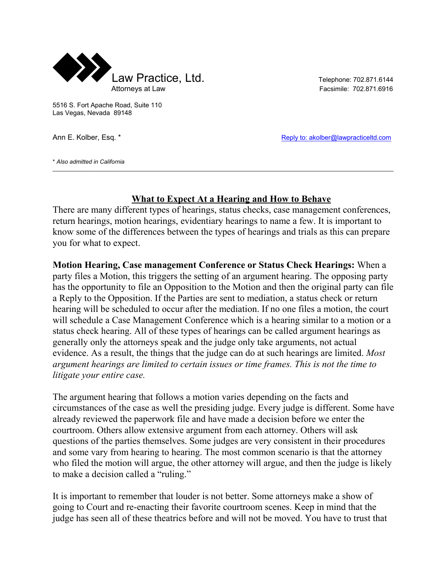

5516 S. Fort Apache Road, Suite 110 Las Vegas, Nevada 89148

Ann E. Kolber, Esq. \* Reply to: akolber@lawpracticeltd.com

\* *Also admitted in California*

## **What to Expect At a Hearing and How to Behave**

There are many different types of hearings, status checks, case management conferences, return hearings, motion hearings, evidentiary hearings to name a few. It is important to know some of the differences between the types of hearings and trials as this can prepare you for what to expect.

 $\mathcal{L}_\mathcal{L} = \mathcal{L}_\mathcal{L} = \mathcal{L}_\mathcal{L} = \mathcal{L}_\mathcal{L} = \mathcal{L}_\mathcal{L} = \mathcal{L}_\mathcal{L} = \mathcal{L}_\mathcal{L} = \mathcal{L}_\mathcal{L} = \mathcal{L}_\mathcal{L} = \mathcal{L}_\mathcal{L} = \mathcal{L}_\mathcal{L} = \mathcal{L}_\mathcal{L} = \mathcal{L}_\mathcal{L} = \mathcal{L}_\mathcal{L} = \mathcal{L}_\mathcal{L} = \mathcal{L}_\mathcal{L} = \mathcal{L}_\mathcal{L}$ 

**Motion Hearing, Case management Conference or Status Check Hearings:** When a party files a Motion, this triggers the setting of an argument hearing. The opposing party has the opportunity to file an Opposition to the Motion and then the original party can file a Reply to the Opposition. If the Parties are sent to mediation, a status check or return hearing will be scheduled to occur after the mediation. If no one files a motion, the court will schedule a Case Management Conference which is a hearing similar to a motion or a status check hearing. All of these types of hearings can be called argument hearings as generally only the attorneys speak and the judge only take arguments, not actual evidence. As a result, the things that the judge can do at such hearings are limited. *Most argument hearings are limited to certain issues or time frames. This is not the time to litigate your entire case.* 

The argument hearing that follows a motion varies depending on the facts and circumstances of the case as well the presiding judge. Every judge is different. Some have already reviewed the paperwork file and have made a decision before we enter the courtroom. Others allow extensive argument from each attorney. Others will ask questions of the parties themselves. Some judges are very consistent in their procedures and some vary from hearing to hearing. The most common scenario is that the attorney who filed the motion will argue, the other attorney will argue, and then the judge is likely to make a decision called a "ruling."

It is important to remember that louder is not better. Some attorneys make a show of going to Court and re-enacting their favorite courtroom scenes. Keep in mind that the judge has seen all of these theatrics before and will not be moved. You have to trust that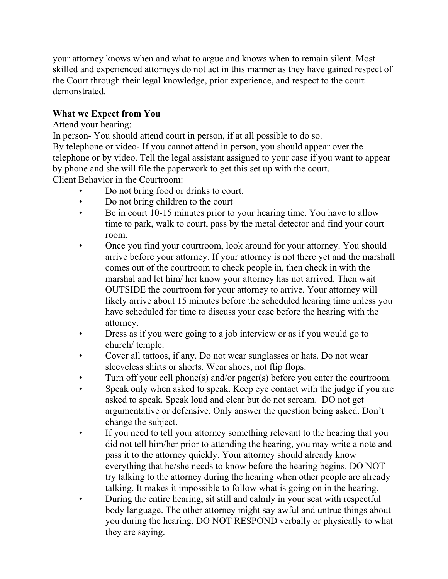your attorney knows when and what to argue and knows when to remain silent. Most skilled and experienced attorneys do not act in this manner as they have gained respect of the Court through their legal knowledge, prior experience, and respect to the court demonstrated.

## **What we Expect from You**

## Attend your hearing:

In person- You should attend court in person, if at all possible to do so.

By telephone or video- If you cannot attend in person, you should appear over the telephone or by video. Tell the legal assistant assigned to your case if you want to appear by phone and she will file the paperwork to get this set up with the court.

Client Behavior in the Courtroom:

- Do not bring food or drinks to court.
- Do not bring children to the court
- Be in court 10-15 minutes prior to your hearing time. You have to allow time to park, walk to court, pass by the metal detector and find your court room.
- Once you find your courtroom, look around for your attorney. You should arrive before your attorney. If your attorney is not there yet and the marshall comes out of the courtroom to check people in, then check in with the marshal and let him/ her know your attorney has not arrived. Then wait OUTSIDE the courtroom for your attorney to arrive. Your attorney will likely arrive about 15 minutes before the scheduled hearing time unless you have scheduled for time to discuss your case before the hearing with the attorney.
- Dress as if you were going to a job interview or as if you would go to church/ temple.
- Cover all tattoos, if any. Do not wear sunglasses or hats. Do not wear sleeveless shirts or shorts. Wear shoes, not flip flops.
- Turn off your cell phone(s) and/or pager(s) before you enter the courtroom.
- Speak only when asked to speak. Keep eye contact with the judge if you are asked to speak. Speak loud and clear but do not scream. DO not get argumentative or defensive. Only answer the question being asked. Don't change the subject.
- If you need to tell your attorney something relevant to the hearing that you did not tell him/her prior to attending the hearing, you may write a note and pass it to the attorney quickly. Your attorney should already know everything that he/she needs to know before the hearing begins. DO NOT try talking to the attorney during the hearing when other people are already talking. It makes it impossible to follow what is going on in the hearing.
- During the entire hearing, sit still and calmly in your seat with respectful body language. The other attorney might say awful and untrue things about you during the hearing. DO NOT RESPOND verbally or physically to what they are saying.